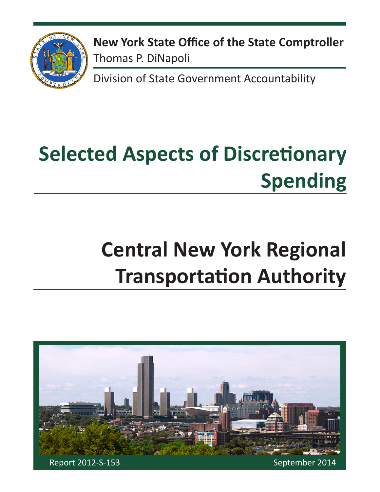

**New York State Office of the State Comptroller** Thomas P. DiNapoli

Division of State Government Accountability

# **Selected Aspects of Discretionary Spending**

# **Central New York Regional Transportation Authority**

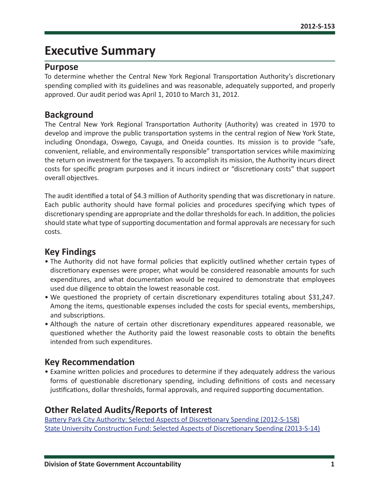# **Executive Summary**

### **Purpose**

To determine whether the Central New York Regional Transportation Authority's discretionary spending complied with its guidelines and was reasonable, adequately supported, and properly approved. Our audit period was April 1, 2010 to March 31, 2012.

### **Background**

The Central New York Regional Transportation Authority (Authority) was created in 1970 to develop and improve the public transportation systems in the central region of New York State, including Onondaga, Oswego, Cayuga, and Oneida counties. Its mission is to provide "safe, convenient, reliable, and environmentally responsible" transportation services while maximizing the return on investment for the taxpayers. To accomplish its mission, the Authority incurs direct costs for specific program purposes and it incurs indirect or "discretionary costs" that support overall objectives.

The audit identified a total of \$4.3 million of Authority spending that was discretionary in nature. Each public authority should have formal policies and procedures specifying which types of discretionary spending are appropriate and the dollar thresholds for each. In addition, the policies should state what type of supporting documentation and formal approvals are necessary for such costs.

# **Key Findings**

- The Authority did not have formal policies that explicitly outlined whether certain types of discretionary expenses were proper, what would be considered reasonable amounts for such expenditures, and what documentation would be required to demonstrate that employees used due diligence to obtain the lowest reasonable cost.
- We questioned the propriety of certain discretionary expenditures totaling about \$31,247. Among the items, questionable expenses included the costs for special events, memberships, and subscriptions.
- Although the nature of certain other discretionary expenditures appeared reasonable, we questioned whether the Authority paid the lowest reasonable costs to obtain the benefits intended from such expenditures.

## **Key Recommendation**

• Examine written policies and procedures to determine if they adequately address the various forms of questionable discretionary spending, including definitions of costs and necessary justifications, dollar thresholds, formal approvals, and required supporting documentation.

## **Other Related Audits/Reports of Interest**

[Battery Park City Authority: Selected Aspects of Discretionary Spending \(2012-S-158\)](http://osc.state.ny.us/audits/allaudits/093014/12s158.pdf) [State University Construction Fund: Selected Aspects of Discretionary Spending \(2013-S-14\)](http://osc.state.ny.us/audits/allaudits/093014/13s14%20.pdf)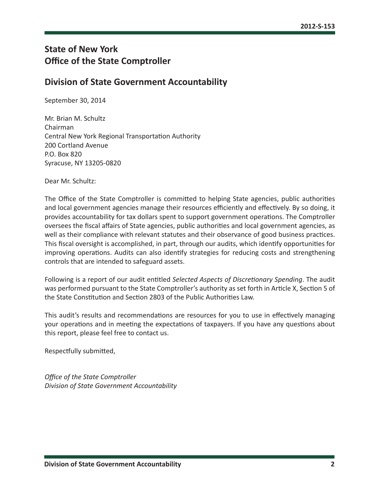# **State of New York Office of the State Comptroller**

## **Division of State Government Accountability**

September 30, 2014

Mr. Brian M. Schultz Chairman Central New York Regional Transportation Authority 200 Cortland Avenue P.O. Box 820 Syracuse, NY 13205-0820

Dear Mr. Schultz:

The Office of the State Comptroller is committed to helping State agencies, public authorities and local government agencies manage their resources efficiently and effectively. By so doing, it provides accountability for tax dollars spent to support government operations. The Comptroller oversees the fiscal affairs of State agencies, public authorities and local government agencies, as well as their compliance with relevant statutes and their observance of good business practices. This fiscal oversight is accomplished, in part, through our audits, which identify opportunities for improving operations. Audits can also identify strategies for reducing costs and strengthening controls that are intended to safeguard assets.

Following is a report of our audit entitled *Selected Aspects of Discretionary Spending*. The audit was performed pursuant to the State Comptroller's authority as set forth in Article X, Section 5 of the State Constitution and Section 2803 of the Public Authorities Law.

This audit's results and recommendations are resources for you to use in effectively managing your operations and in meeting the expectations of taxpayers. If you have any questions about this report, please feel free to contact us.

Respectfully submitted,

*Office of the State Comptroller Division of State Government Accountability*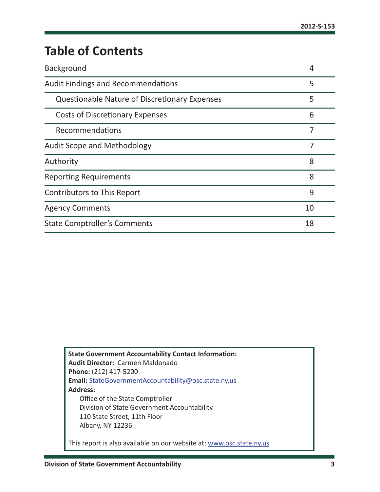# **Table of Contents**

| Background                                           | 4  |
|------------------------------------------------------|----|
| <b>Audit Findings and Recommendations</b>            | 5  |
| <b>Questionable Nature of Discretionary Expenses</b> | 5  |
| <b>Costs of Discretionary Expenses</b>               | 6  |
| Recommendations                                      | 7  |
| <b>Audit Scope and Methodology</b>                   | 7  |
| Authority                                            | 8  |
| <b>Reporting Requirements</b>                        | 8  |
| <b>Contributors to This Report</b>                   | 9  |
| <b>Agency Comments</b>                               | 10 |
| <b>State Comptroller's Comments</b>                  | 18 |

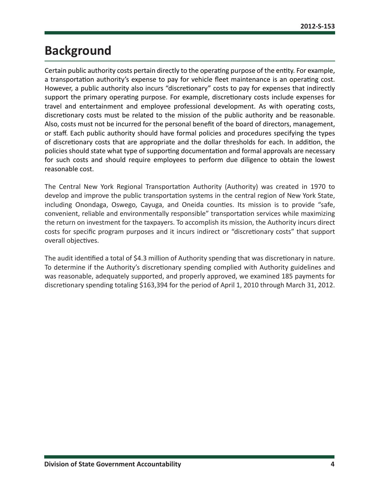# <span id="page-4-0"></span>**Background**

Certain public authority costs pertain directly to the operating purpose of the entity. For example, a transportation authority's expense to pay for vehicle fleet maintenance is an operating cost. However, a public authority also incurs "discretionary" costs to pay for expenses that indirectly support the primary operating purpose. For example, discretionary costs include expenses for travel and entertainment and employee professional development. As with operating costs, discretionary costs must be related to the mission of the public authority and be reasonable. Also, costs must not be incurred for the personal benefit of the board of directors, management, or staff. Each public authority should have formal policies and procedures specifying the types of discretionary costs that are appropriate and the dollar thresholds for each. In addition, the policies should state what type of supporting documentation and formal approvals are necessary for such costs and should require employees to perform due diligence to obtain the lowest reasonable cost.

The Central New York Regional Transportation Authority (Authority) was created in 1970 to develop and improve the public transportation systems in the central region of New York State, including Onondaga, Oswego, Cayuga, and Oneida counties. Its mission is to provide "safe, convenient, reliable and environmentally responsible" transportation services while maximizing the return on investment for the taxpayers. To accomplish its mission, the Authority incurs direct costs for specific program purposes and it incurs indirect or "discretionary costs" that support overall objectives.

The audit identified a total of \$4.3 million of Authority spending that was discretionary in nature. To determine if the Authority's discretionary spending complied with Authority guidelines and was reasonable, adequately supported, and properly approved, we examined 185 payments for discretionary spending totaling \$163,394 for the period of April 1, 2010 through March 31, 2012.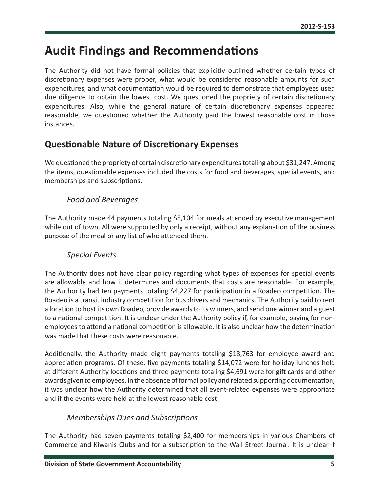# <span id="page-5-0"></span>**Audit Findings and Recommendations**

The Authority did not have formal policies that explicitly outlined whether certain types of discretionary expenses were proper, what would be considered reasonable amounts for such expenditures, and what documentation would be required to demonstrate that employees used due diligence to obtain the lowest cost. We questioned the propriety of certain discretionary expenditures. Also, while the general nature of certain discretionary expenses appeared reasonable, we questioned whether the Authority paid the lowest reasonable cost in those instances.

# **Questionable Nature of Discretionary Expenses**

We questioned the propriety of certain discretionary expenditures totaling about \$31,247. Among the items, questionable expenses included the costs for food and beverages, special events, and memberships and subscriptions.

### *Food and Beverages*

The Authority made 44 payments totaling \$5,104 for meals attended by executive management while out of town. All were supported by only a receipt, without any explanation of the business purpose of the meal or any list of who attended them.

### *Special Events*

The Authority does not have clear policy regarding what types of expenses for special events are allowable and how it determines and documents that costs are reasonable. For example, the Authority had ten payments totaling \$4,227 for participation in a Roadeo competition. The Roadeo is a transit industry competition for bus drivers and mechanics. The Authority paid to rent a location to host its own Roadeo, provide awards to its winners, and send one winner and a guest to a national competition. It is unclear under the Authority policy if, for example, paying for nonemployees to attend a national competition is allowable. It is also unclear how the determination was made that these costs were reasonable.

Additionally, the Authority made eight payments totaling \$18,763 for employee award and appreciation programs. Of these, five payments totaling \$14,072 were for holiday lunches held at different Authority locations and three payments totaling \$4,691 were for gift cards and other awards given to employees. In the absence of formal policy and related supporting documentation, it was unclear how the Authority determined that all event-related expenses were appropriate and if the events were held at the lowest reasonable cost.

### *Memberships Dues and Subscriptions*

The Authority had seven payments totaling \$2,400 for memberships in various Chambers of Commerce and Kiwanis Clubs and for a subscription to the Wall Street Journal. It is unclear if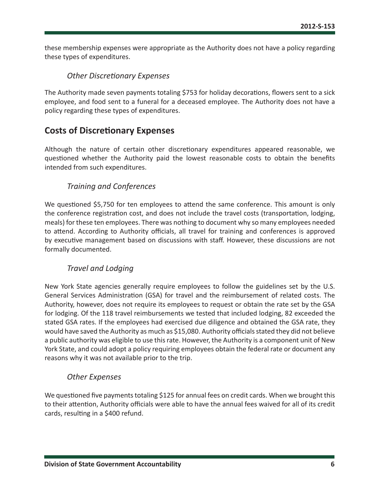<span id="page-6-0"></span>these membership expenses were appropriate as the Authority does not have a policy regarding these types of expenditures.

### *Other Discretionary Expenses*

The Authority made seven payments totaling \$753 for holiday decorations, flowers sent to a sick employee, and food sent to a funeral for a deceased employee. The Authority does not have a policy regarding these types of expenditures.

# **Costs of Discretionary Expenses**

Although the nature of certain other discretionary expenditures appeared reasonable, we questioned whether the Authority paid the lowest reasonable costs to obtain the benefits intended from such expenditures.

### *Training and Conferences*

We questioned \$5,750 for ten employees to attend the same conference. This amount is only the conference registration cost, and does not include the travel costs (transportation, lodging, meals) for these ten employees. There was nothing to document why so many employees needed to attend. According to Authority officials, all travel for training and conferences is approved by executive management based on discussions with staff. However, these discussions are not formally documented.

### *Travel and Lodging*

New York State agencies generally require employees to follow the guidelines set by the U.S. General Services Administration (GSA) for travel and the reimbursement of related costs. The Authority, however, does not require its employees to request or obtain the rate set by the GSA for lodging. Of the 118 travel reimbursements we tested that included lodging, 82 exceeded the stated GSA rates. If the employees had exercised due diligence and obtained the GSA rate, they would have saved the Authority as much as \$15,080. Authority officials stated they did not believe a public authority was eligible to use this rate. However, the Authority is a component unit of New York State, and could adopt a policy requiring employees obtain the federal rate or document any reasons why it was not available prior to the trip.

### *Other Expenses*

We questioned five payments totaling \$125 for annual fees on credit cards. When we brought this to their attention, Authority officials were able to have the annual fees waived for all of its credit cards, resulting in a \$400 refund.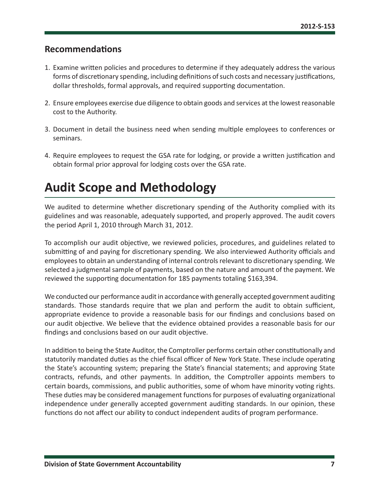## <span id="page-7-0"></span>**Recommendations**

- 1. Examine written policies and procedures to determine if they adequately address the various forms of discretionary spending, including definitions of such costs and necessary justifications, dollar thresholds, formal approvals, and required supporting documentation.
- 2. Ensure employees exercise due diligence to obtain goods and services at the lowest reasonable cost to the Authority.
- 3. Document in detail the business need when sending multiple employees to conferences or seminars.
- 4. Require employees to request the GSA rate for lodging, or provide a written justification and obtain formal prior approval for lodging costs over the GSA rate.

# **Audit Scope and Methodology**

We audited to determine whether discretionary spending of the Authority complied with its guidelines and was reasonable, adequately supported, and properly approved. The audit covers the period April 1, 2010 through March 31, 2012.

To accomplish our audit objective, we reviewed policies, procedures, and guidelines related to submitting of and paying for discretionary spending. We also interviewed Authority officials and employees to obtain an understanding of internal controls relevant to discretionary spending. We selected a judgmental sample of payments, based on the nature and amount of the payment. We reviewed the supporting documentation for 185 payments totaling \$163,394.

We conducted our performance audit in accordance with generally accepted government auditing standards. Those standards require that we plan and perform the audit to obtain sufficient, appropriate evidence to provide a reasonable basis for our findings and conclusions based on our audit objective. We believe that the evidence obtained provides a reasonable basis for our findings and conclusions based on our audit objective.

In addition to being the State Auditor, the Comptroller performs certain other constitutionally and statutorily mandated duties as the chief fiscal officer of New York State. These include operating the State's accounting system; preparing the State's financial statements; and approving State contracts, refunds, and other payments. In addition, the Comptroller appoints members to certain boards, commissions, and public authorities, some of whom have minority voting rights. These duties may be considered management functions for purposes of evaluating organizational independence under generally accepted government auditing standards. In our opinion, these functions do not affect our ability to conduct independent audits of program performance.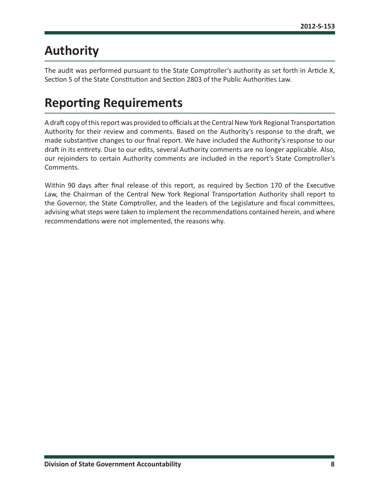# <span id="page-8-0"></span>**Authority**

The audit was performed pursuant to the State Comptroller's authority as set forth in Article X, Section 5 of the State Constitution and Section 2803 of the Public Authorities Law.

# **Reporting Requirements**

A draft copy of this report was provided to officials at the Central New York Regional Transportation Authority for their review and comments. Based on the Authority's response to the draft, we made substantive changes to our final report. We have included the Authority's response to our draft in its entirety. Due to our edits, several Authority comments are no longer applicable. Also, our rejoinders to certain Authority comments are included in the report's State Comptroller's Comments.

Within 90 days after final release of this report, as required by Section 170 of the Executive Law, the Chairman of the Central New York Regional Transportation Authority shall report to the Governor, the State Comptroller, and the leaders of the Legislature and fiscal committees, advising what steps were taken to implement the recommendations contained herein, and where recommendations were not implemented, the reasons why.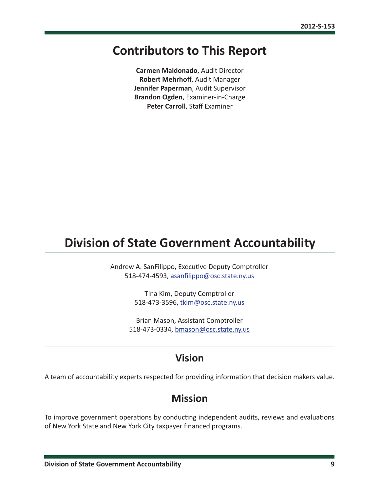# <span id="page-9-0"></span>**Contributors to This Report**

**Carmen Maldonado**, Audit Director **Robert Mehrhoff**, Audit Manager **Jennifer Paperman**, Audit Supervisor **Brandon Ogden**, Examiner-in-Charge **Peter Carroll**, Staff Examiner

# **Division of State Government Accountability**

Andrew A. SanFilippo, Executive Deputy Comptroller 518-474-4593, [asanfilippo@osc.state.ny.us](mailto:asanfilippo%40osc.state.ny.us%0D?subject=)

> Tina Kim, Deputy Comptroller 518-473-3596, [tkim@osc.state.ny.us](mailto:tkim%40osc.state.ny.us?subject=)

Brian Mason, Assistant Comptroller 518-473-0334, [bmason@osc.state.ny.us](mailto:bmason%40osc.state.ny.us?subject=)

# **Vision**

A team of accountability experts respected for providing information that decision makers value.

# **Mission**

To improve government operations by conducting independent audits, reviews and evaluations of New York State and New York City taxpayer financed programs.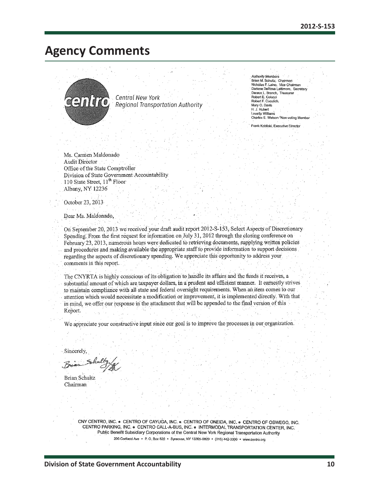# <span id="page-10-0"></span>**Agency Comments**



Central New York Regional Transportation Authority

| <b>Authority Members</b>             |  |
|--------------------------------------|--|
| Brian M. Schultz, Chairman           |  |
| Nicholas F. Laino, Vice Chairman     |  |
| Darlene DeRosa Lattimore, Secretary  |  |
| Deraux L. Branch. Treasurer          |  |
| Robert E. Colucci                    |  |
| Robert F. Cuculich.                  |  |
| Mary O. Davis                        |  |
| H. J. Hubert                         |  |
| Louella Williams                     |  |
| Charles E. Watson *Non-voting Member |  |
|                                      |  |

Frank Kobliski, Executive Directo

Ms. Carmen Maldonado **Audit Director** Office of the State Comptroller Division of State Government Accountability 110 State Street, 11<sup>th</sup> Floor Albany, NY 12236

October 23, 2013

Dear Ms. Maldonado,

On September 20, 2013 we received your draft audit report 2012-S-153, Select Aspects of Discretionary Spending. From the first request for information on July 31, 2012 through the closing conference on February 23, 2013, numerous hours were dedicated to retrieving documents, supplying written policies and procedures and making available the appropriate staff to provide information to support decisions regarding the aspects of discretionary spending. We appreciate this opportunity to address your comments in this report.

The CNYRTA is highly conscious of its obligation to handle its affairs and the funds it receives, a substantial amount of which are taxpayer dollars, in a prudent and efficient manner. It earnestly strives to maintain compliance with all state and federal oversight requirements. When an item comes to our attention which would necessitate a modification or improvement, it is implemented directly. With that in mind, we offer our response in the attachment that will be appended to the final version of this Report.

We appreciate your constructive input since our goal is to improve the processes in our organization.

Sincerely,

Brian Schultz Chairman

CNY CENTRO, INC. . CENTRO OF CAYUGA, INC. . CENTRO OF ONEIDA, INC. . CENTRO OF OSWEGO, INC. CENTRO PARKING, INC. . CENTRO CALL-A-BUS, INC. . INTERMODAL TRANSPORTATION CENTER, INC. Public Benefit Subsidiary Corporations of the Central New York Regional Transportation Authority 200 Cortland Ave • P. O. Box 820 • Syracuse, NY 13205-0820 • (315) 442-3300 • www.centro.org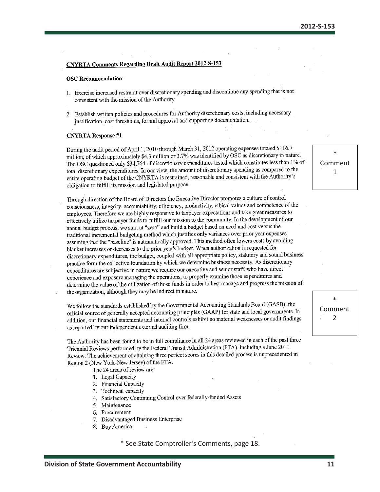#### **CNYRTA Comments Regarding Draft Audit Report 2012-S-153**

#### **OSC Recommendation:**

- 1. Exercise increased restraint over discretionary spending and discontinue any spending that is not consistent with the mission of the Authority
- 2. Establish written policies and procedures for Authority discretionary costs, including necessary justification, cost thresholds, formal approval and supporting documentation.

#### **CNYRTA Response #1**

During the audit period of April 1, 2010 through March 31, 2012 operating expenses totaled \$116.7 million, of which approximately \$4.3 million or 3.7% was identified by OSC as discretionary in nature. The OSC questioned only \$34,764 of discretionary expenditures tested which constitutes less than 1% of total discretionary expenditures. In our view, the amount of discretionary spending as compared to the entire operating budget of the CNYRTA is restrained, reasonable and consistent with the Authority's obligation to fulfill its mission and legislated purpose.

Through direction of the Board of Directors the Executive Director promotes a culture of control consciousness, integrity, accountability, efficiency, productivity, ethical values and competence of the employees. Therefore we are highly responsive to taxpayer expectations and take great measures to effectively utilize taxpayer funds to fulfill our mission to the community. In the development of our annual budget process, we start at "zero" and build a budget based on need and cost versus the traditional incremental budgeting method which justifies only variances over prior year expenses assuming that the "baseline" is automatically approved. This method often lowers costs by avoiding blanket increases or decreases to the prior year's budget. When authorization is requested for discretionary expenditures, the budget, coupled with all appropriate policy, statutory and sound business practice form the collective foundation by which we determine business necessity. As discretionary expenditures are subjective in nature we require our executive and senior staff, who have direct experience and exposure managing the operations, to properly examine those expenditures and determine the value of the utilization of those funds in order to best manage and progress the mission of the organization, although they may be indirect in nature.

We follow the standards established by the Governmental Accounting Standards Board (GASB), the official source of generally accepted accounting principles (GAAP) for state and local governments. In addition, our financial statements and internal controls exhibit no material weaknesses or audit findings as reported by our independent external auditing firm.

The Authority has been found to be in full compliance in all 24 areas reviewed in each of the past three Triennial Reviews performed by the Federal Transit Administration (FTA), including a June 2011 Review. The achievement of attaining three perfect scores in this detailed process is unprecedented in Region 2 (New York-New Jersey) of the FTA.

The 24 areas of review are:

- 1. Legal Capacity
- 2. Financial Capacity
- 3. Technical capacity
- Satisfactory Continuing Control over federally-funded Assets 4.
- 5. Maintenance
- 6. Procurement
- Disadvantaged Business Enterprise  $7.$
- 8. Buy America

\* See State Comptroller's Comments, page 18.

Comment  $\mathbf{1}$ 



**Division of State Government Accountability**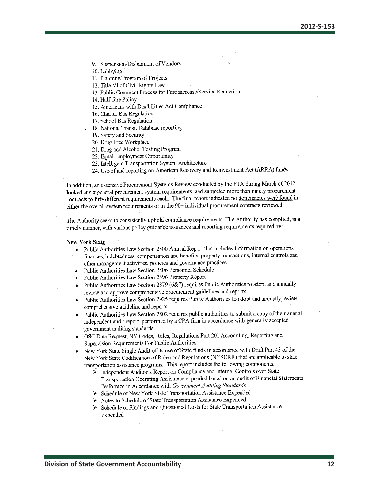9. Suspension/Disbarment of Vendors

10. Lobbying

11. Planning/Program of Projects

12. Title VI of Civil Rights Law

13. Public Comment Process for Fare increase/Service Reduction

14. Half-fare Policy

15. Americans with Disabilities Act Compliance

16. Charter Bus Regulation

17. School Bus Regulation

- 18. National Transit Database reporting
- 19. Safety and Security

20. Drug Free Workplace

21. Drug and Alcohol Testing Program

22. Equal Employment Opportunity

23. Intelligent Transportation System Architecture

24. Use of and reporting on American Recovery and Reinvestment Act (ARRA) funds

In addition, an extensive Procurement Systems Review conducted by the FTA during March of 2012 looked at six general procurement system requirements, and subjected more than ninety procurement contracts to fifty different requirements each. The final report indicated no deficiencies were found in either the overall system requirements or in the 90+ individual procurement contracts reviewed

The Authority seeks to consistently uphold compliance requirements. The Authority has complied, in a timely manner, with various policy guidance issuances and reporting requirements required by:

#### **New York State**

Public Authorities Law Section 2800 Annual Report that includes information on operations, finances, indebtedness, compensation and benefits, property transactions, internal controls and

other management activities, policies and governance practices

- Public Authorities Law Section 2806 Personnel Schedule
- Public Authorities Law Section 2896 Property Report
- Public Authorities Law Section 2879 (6&7) requires Public Authorities to adopt and annually review and approve comprehensive procurement guidelines and reports
- Public Authorities Law Section 2925 requires Public Authorities to adopt and annually review comprehensive guideline and reports
- Public Authorities Law Section 2802 requires public authorities to submit a copy of their annual independent audit report, performed by a CPA firm in accordance with generally accepted government auditing standards
- OSC Data Request, NY Codes, Rules, Regulations Part 201 Accounting, Reporting and Supervision Requirements For Public Authorities

New York State Single Audit of its use of State funds in accordance with Draft Part 43 of the New York State Codification of Rules and Regulations (NYSCRR) that are applicable to state transportation assistance programs. This report includes the following components:

- $\triangleright$  Independent Auditor's Report on Compliance and Internal Controls over State Transportation Operating Assistance expended based on an audit of Financial Statements Performed in Accordance with Government Auditing Standards
- Schedule of New York State Transportation Assistance Expended
- Notes to Schedule of State Transportation Assistance Expended  $\blacktriangleright$
- Schedule of Findings and Questioned Costs for State Transportation Assistance  $\blacktriangleright$ Expended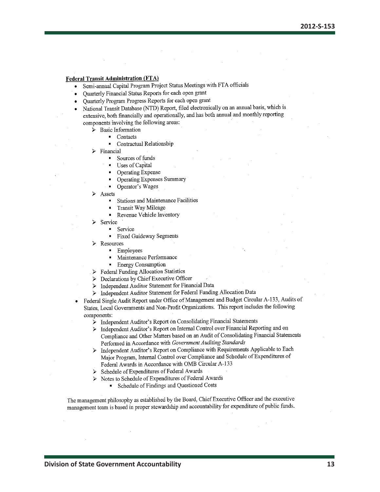#### **Federal Transit Administration (FTA)**

- Semi-annual Capital Program Project Status Meetings with FTA officials
- Ouarterly Financial Status Reports for each open grant
- Ouarterly Program Progress Reports for each open grant
- National Transit Database (NTD) Report, filed electronically on an annual basis, which is extensive, both financially and operationally, and has both annual and monthly reporting components involving the following areas:
	- **Basic Information**  $\blacktriangleright$ 
		- Contacts
		- Contractual Relationship  $\blacksquare$
	- Financial
		- Sources of funds  $\blacksquare$
		- Uses of Capital  $\blacksquare$
		- Operating Expense
		- **Operating Expenses Summary**
		- Operator's Wages  $\blacksquare$
	- Assets
		- **Stations and Maintenance Facilities**
		- Transit Way Mileage  $\blacksquare$
		- $\blacksquare$ Revenue Vehicle Inventory
	- Service
		- Service
		- **Fixed Guideway Segments**  $\blacksquare$
	- $\triangleright$  Resources
		- $\blacksquare$ Employees
		- $\blacksquare$ Maintenance Performance
		- **Energy Consumption**
	- $\triangleright$  Federal Funding Allocation Statistics
	- Declarations by Chief Executive Officer ↘
	- Independent Auditor Statement for Financial Data  $\blacktriangleright$
	- > Independent Auditor Statement for Federal Funding Allocation Data
- Federal Single Audit Report under Office of Management and Budget Circular A-133, Audits of States, Local Governments and Non-Profit Organizations. This report includes the following components:
	- > Independent Auditor's Report on Consolidating Financial Statements
	- > Independent Auditor's Report on Internal Control over Financial Reporting and on Compliance and Other Matters based on an Audit of Consolidating Financial Statements Performed in Accordance with Government Auditing Standards
	- > Independent Auditor's Report on Compliance with Requirements Applicable to Each Major Program, Internal Control over Compliance and Schedule of Expenditures of Federal Awards in Accordance with OMB Circular A-133
	- Schedule of Expenditures of Federal Awards ↘
	- Notes to Schedule of Expenditures of Federal Awards  $\blacktriangleright$ 
		- Schedule of Findings and Questioned Costs

The management philosophy as established by the Board, Chief Executive Officer and the executive management team is based in proper stewardship and accountability for expenditure of public funds.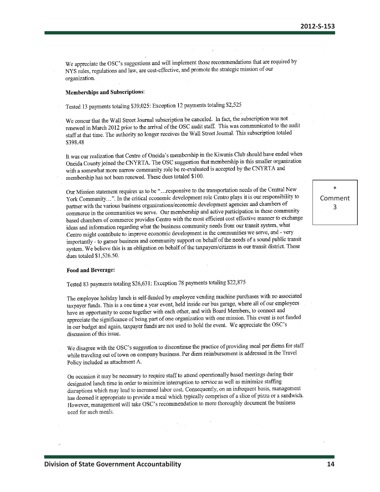We appreciate the OSC's suggestions and will implement those recommendations that are required by NYS rules, regulations and law, are cost-effective, and promote the strategic mission of our organization.

### **Memberships and Subscriptions:**

Tested 13 payments totaling \$39,025: Exception 12 payments totaling \$2,525

We concur that the Wall Street Journal subscription be canceled. In fact, the subscription was not renewed in March 2012 prior to the arrival of the OSC audit staff. This was communicated to the audit staff at that time. The authority no longer receives the Wall Street Journal. This subscription totaled \$398.48

It was our realization that Centro of Oneida's membership in the Kiwanis Club should have ended when Oneida County joined the CNYRTA. The OSC suggestion that membership in this smaller organization with a somewhat more narrow community role be re-evaluated is accepted by the CNYRTA and membership has not been renewed. These dues totaled \$100.

Our Mission statement requires us to be "...responsive to the transportation needs of the Central New Our Mission statement requires us to be milesponsible to the analysis and a record of the Control of the Control of the Centrol plays it is our responsibility to partner with the various business organizations/economic development agencies and chambers of commerce in the communities we serve. Our membership and active participation in these community based chambers of commerce provides Centro with the most efficient cost effective manner to exchange ideas and information regarding what the business community needs from our transit system, what Centro might contribute to improve economic development in the communities we serve, and - very importantly - to garner business and community support on behalf of the needs of a sound public transit system. We believe this is an obligation on behalf of the taxpayers/citizens in our transit district. These dues totaled \$1,526.50.

#### Food and Beverage:

Tested 83 payments totaling \$26,631: Exception 78 payments totaling \$22,875

The employee holiday lunch is self-funded by employee vending machine purchases with no associated taxpayer funds. This is a one time a year event, held inside our bus garage, where all of our employees have an opportunity to come together with each other, and with Board Members, to connect and appreciate the significance of being part of one organization with one mission. This event is not funded in our budget and again, taxpayer funds are not used to hold the event. We appreciate the OSC's discussion of this issue.

We disagree with the OSC's suggestion to discontinue the practice of providing meal per diems for staff we disagree with the CEU subgest and the Universe Per diem reimbursement is addressed in the Travel Policy included as attachment A.

On occasion it may be necessary to require staff to attend operationally based meetings during their designated lunch time in order to minimize interruption to service as well as minimize staffing disruptions which may lead to increased labor cost. Consequently, on an infrequent basis, management has deemed it appropriate to provide a meal which typically comprises of a slice of pizza or a sandwich. However, management will take OSC's recommendation to more thoroughly document the business need for such meals.

\* Comment 3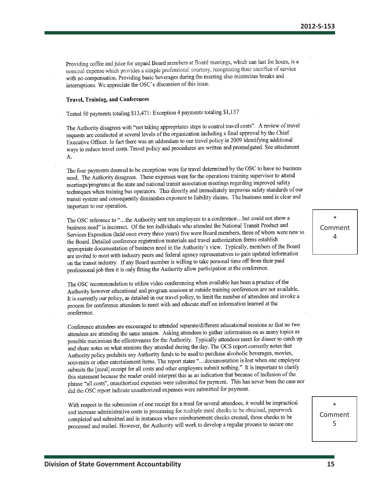Providing coffee and juice for unpaid Board members at Board meetings, which can last for hours, is a noviming correcting junco for implies a simple professional courtesy, recognizing their sacrifice of service with no compensation. Providing basic beverages during the meeting also minimizes breaks and interruptions. We appreciate the OSC's discussion of this issue.

### **Travel, Training, and Conferences**

Tested 50 payments totaling \$13,471: Exception 4 payments totaling \$1,137

The Authority disagrees with "not taking appropriates steps to control travel costs". A review of travel rie Authority disagrees with not taking appropriates steps to connect all the control by the Chief Executive Officer. In fact there was an addendum to our travel policy in 2009 identifying additional ways to reduce travel costs. Travel policy and procedures are written and promulgated. See attachment А.

The four payments deemed to be exceptions were for travel determined by the OSC to have no business need. The Authority disagrees. These expenses were for the operations training supervisor to attend meetings/programs at the state and national transit association meetings regarding improved safety techniques when training bus operators. This directly and immediately improves safety standards of our techniques when training bus operators. This directly and himselately hispervels energy such an transit system and consequently diminishes exposure to liability claims. The business need is clear and important to our operation.

The OSC reference to "...the Authority sent ten employees to a conference...but could not show a business need" is incorrect. Of the ten individuals who attended the National Transit Product and Services Exposition (held once every three years) five were Board members, three of whom were new to the Board. Detailed conference registration materials and travel authorization forms establish appropriate documentation of business need in the Authority's view. Typically, members of the Board are invited to meet with industry peers and federal agency representatives to gain updated information on the transit industry. If any Board member is willing to take personal time off from their paid professional job then it is only fitting the Authority allow participation at the conference.

The OSC recommendation to utilize video conferencing when available has been a practice of the Authority however educational and program sessions at outside training conferences are not available. It is currently our policy, as detailed in our travel policy, to limit the number of attendees and invoke a process for conference attendees to meet with and educate staff on information learned at the conference.

Conference attendees are encouraged to attended separate/different educational sessions so that no two attendees are attending the same session. Asking attendees to gather information on as many topics as possible maximizes the effectiveness for the Authority. Typically attendees meet for dinner to catch up and share notes on what sessions they attended during the day. The OCS report correctly notes that Authority policy prohibits any Authority funds to be used to purchase alcoholic beverages, movies, souvenirs or other entertainment items. The report states "... documentation is lost when one employee submits the [meal] receipt for all costs and other employees submit nothing." It is important to clarify this statement because the reader could interpret this as an indication that because of inclusion of the phrase "all costs", unauthorized expenses were submitted for payment. This has never been the case nor did the OSC report indicate unauthorized expenses were submitted for payment.

With respect to the submission of one receipt for a meal for several attendees, it would be impractical and increase administrative costs in processing for multiple meal checks to be obtained, paperwork completed and submitted and in instances where reimbursement checks created, those checks to be processed and mailed. However, the Authority will work to develop a regular process to secure one

\* Comment 4

\* Comment 5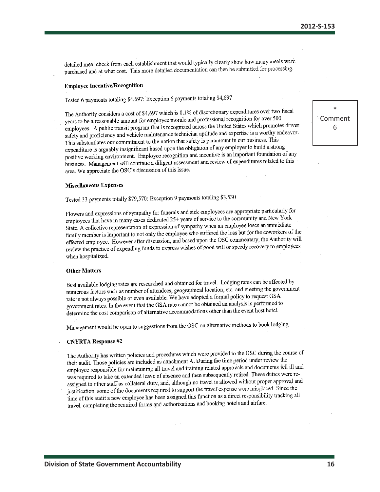detailed meal check from each establishment that would typically clearly show how many meals were purchased and at what cost. This more detailed documentation can then be submitted for processing.

### **Employee Incentive/Recognition**

Tested 6 payments totaling \$4,697: Exception 6 payments totaling \$4,697

The Authority considers a cost of \$4,697 which is 0.1% of discretionary expenditures over two fiscal years to be a reasonable amount for employee morale and professional recognition for over 500 employees. A public transit program that is recognized across the United States which promotes driver safety and proficiency and vehicle maintenance technician aptitude and expertise is a worthy endeavor. This substantiates our commitment to the notion that safety is paramount in our business. This expenditure is arguably insignificant based upon the obligation of any employer to build a strong positive working environment. Employee recognition and incentive is an important foundation of any business. Management will continue a diligent assessment and review of expenditures related to this area. We appreciate the OSC's discussion of this issue.

#### **Miscellaneous Expenses**

Tested 33 payments totally \$79,570: Exception 9 payments totaling \$3,530

Flowers and expressions of sympathy for funerals and sick employees are appropriate particularly for employees that have in many cases dedicated 25+ years of service to the community and New York State. A collective representation of expression of sympathy when an employee loses an immediate family member is important to not only the employee who suffered the loss but for the coworkers of the effected employee. However after discussion, and based upon the OSC commentary, the Authority will review the practice of expending funds to express wishes of good will or speedy recovery to employees when hospitalized.

#### **Other Matters**

Best available lodging rates are researched and obtained for travel. Lodging rates can be affected by numerous factors such as number of attendees, geographical location, etc. and meeting the government rate is not always possible or even available. We have adopted a formal policy to request GSA government rates. In the event that the GSA rate cannot be obtained an analysis is performed to determine the cost comparison of alternative accommodations other than the event host hotel.

Management would be open to suggestions from the OSC on alternative methods to book lodging.

### **CNYRTA** Response #2

The Authority has written policies and procedures which were provided to the OSC during the course of their audit. Those policies are included as attachment A. During the time period under review the employee responsible for maintaining all travel and training related approvals and documents fell ill and was required to take an extended leave of absence and then subsequently retired. These duties were reassigned to other staff as collateral duty, and, although no travel is allowed without proper approval and justification, some of the documents required to support the travel expense were misplaced. Since the time of this audit a new employee has been assigned this function as a direct responsibility tracking all travel, completing the required forms and authorizations and booking hotels and airfare.

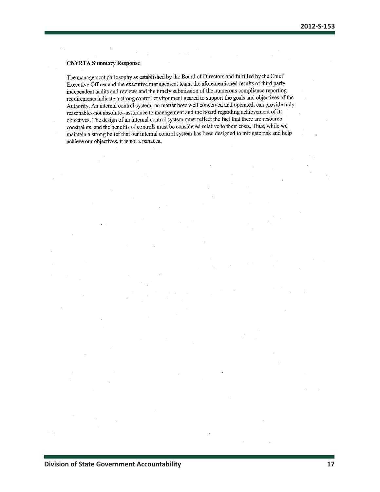### **CNYRTA Summary Response**

The management philosophy as established by the Board of Directors and fulfilled by the Chief Executive Officer and the executive management team, the aforementioned results of third party independent audits and reviews and the timely submission of the numerous compliance reporting requirements indicate a strong control environment geared to support the goals and objectives of the Authority. An internal control system, no matter how well conceived and operated, can provide only reasonable--not absolute--assurance to management and the board regarding achievement of its objectives. The design of an internal control system must reflect the fact that there are resource constraints, and the benefits of controls must be considered relative to their costs. Thus, while we maintain a strong belief that our internal control system has been designed to mitigate risk and help achieve our objectives, it is not a panacea.